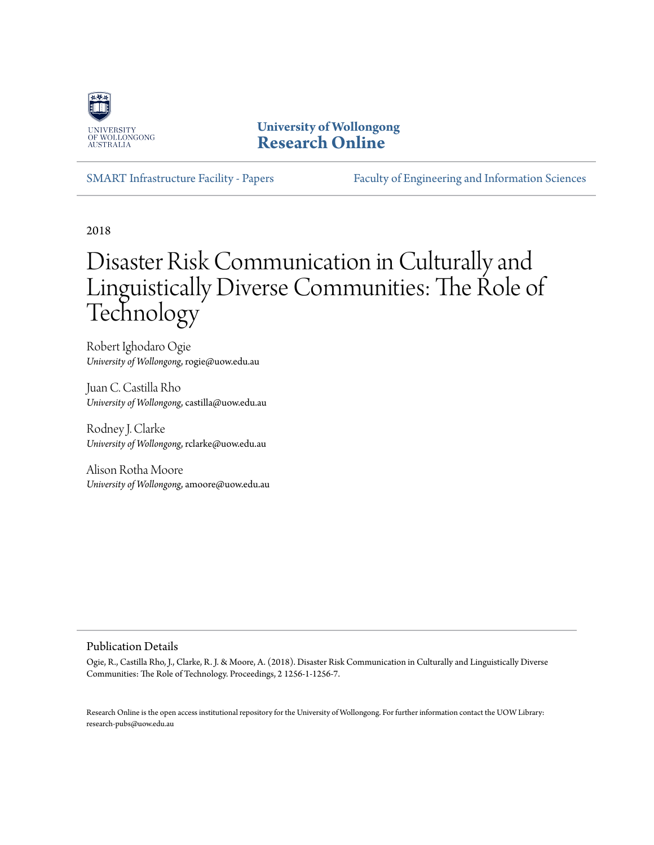

**University of Wollongong [Research Online](https://ro.uow.edu.au)**

[SMART Infrastructure Facility - Papers](https://ro.uow.edu.au/smartpapers) [Faculty of Engineering and Information Sciences](https://ro.uow.edu.au/eis)

2018

# Disaster Risk Communication in Culturally and Linguistically Diverse Communities: The Role of Technology<sup>®</sup>

Robert Ighodaro Ogie *University of Wollongong*, rogie@uow.edu.au

Juan C. Castilla Rho *University of Wollongong*, castilla@uow.edu.au

Rodney J. Clarke *University of Wollongong*, rclarke@uow.edu.au

Alison Rotha Moore *University of Wollongong*, amoore@uow.edu.au

### Publication Details

Ogie, R., Castilla Rho, J., Clarke, R. J. & Moore, A. (2018). Disaster Risk Communication in Culturally and Linguistically Diverse Communities: The Role of Technology. Proceedings, 2 1256-1-1256-7.

Research Online is the open access institutional repository for the University of Wollongong. For further information contact the UOW Library: research-pubs@uow.edu.au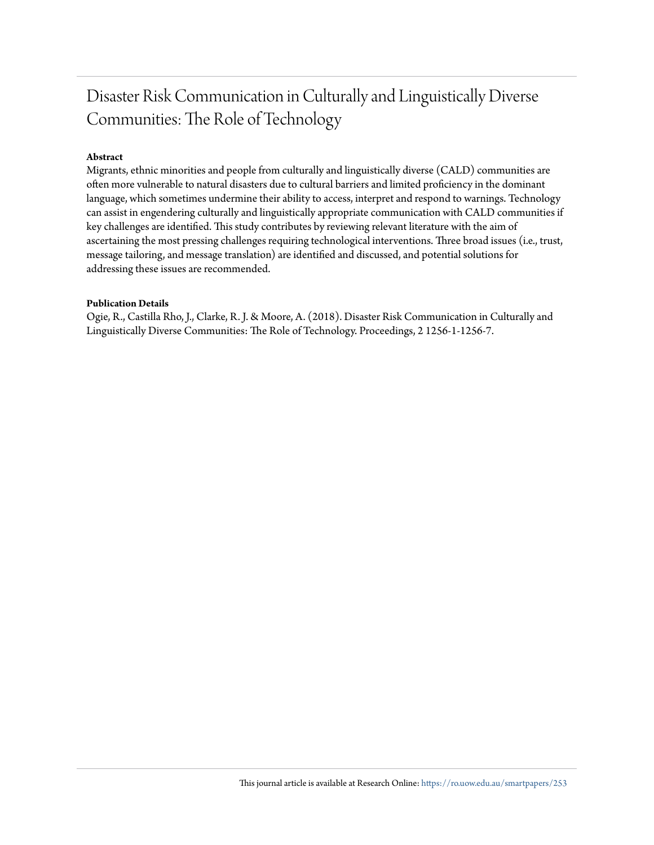# Disaster Risk Communication in Culturally and Linguistically Diverse Communities: The Role of Technology

# **Abstract**

Migrants, ethnic minorities and people from culturally and linguistically diverse (CALD) communities are often more vulnerable to natural disasters due to cultural barriers and limited proficiency in the dominant language, which sometimes undermine their ability to access, interpret and respond to warnings. Technology can assist in engendering culturally and linguistically appropriate communication with CALD communities if key challenges are identified. This study contributes by reviewing relevant literature with the aim of ascertaining the most pressing challenges requiring technological interventions. Three broad issues (i.e., trust, message tailoring, and message translation) are identified and discussed, and potential solutions for addressing these issues are recommended.

#### **Publication Details**

Ogie, R., Castilla Rho, J., Clarke, R. J. & Moore, A. (2018). Disaster Risk Communication in Culturally and Linguistically Diverse Communities: The Role of Technology. Proceedings, 2 1256-1-1256-7.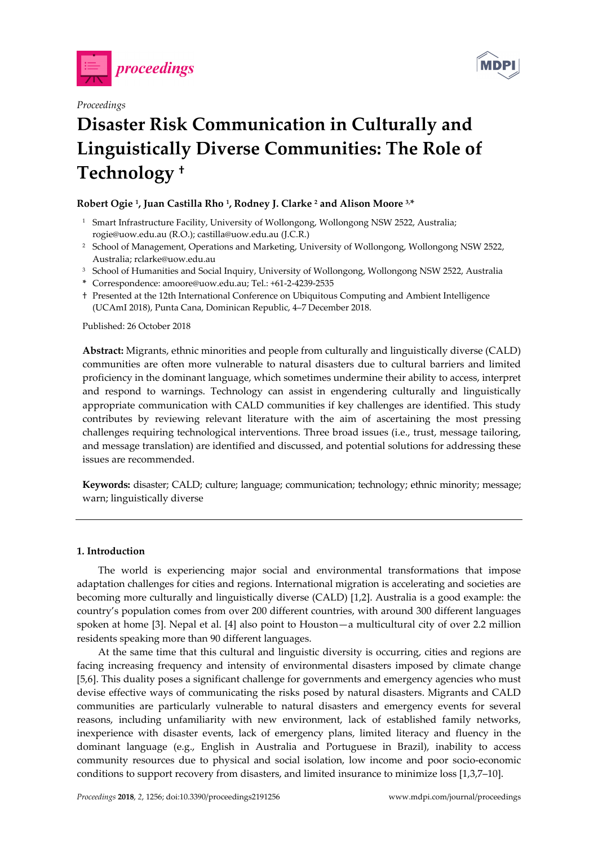



# *Proceedings*

# **Disaster Risk Communication in Culturally and Linguistically Diverse Communities: The Role of Technology †**

# **Robert Ogie 1, Juan Castilla Rho 1, Rodney J. Clarke 2 and Alison Moore 3,\***

- <sup>1</sup> Smart Infrastructure Facility, University of Wollongong, Wollongong NSW 2522, Australia; rogie@uow.edu.au (R.O.); castilla@uow.edu.au (J.C.R.)
- <sup>2</sup> School of Management, Operations and Marketing, University of Wollongong, Wollongong NSW 2522, Australia; rclarke@uow.edu.au
- <sup>3</sup> School of Humanities and Social Inquiry, University of Wollongong, Wollongong NSW 2522, Australia
- **\*** Correspondence: amoore@uow.edu.au; Tel.: +61-2-4239-2535
- † Presented at the 12th International Conference on Ubiquitous Computing and Ambient Intelligence (UCAmI 2018), Punta Cana, Dominican Republic, 4–7 December 2018.

Published: 26 October 2018

**Abstract:** Migrants, ethnic minorities and people from culturally and linguistically diverse (CALD) communities are often more vulnerable to natural disasters due to cultural barriers and limited proficiency in the dominant language, which sometimes undermine their ability to access, interpret and respond to warnings. Technology can assist in engendering culturally and linguistically appropriate communication with CALD communities if key challenges are identified. This study contributes by reviewing relevant literature with the aim of ascertaining the most pressing challenges requiring technological interventions. Three broad issues (i.e., trust, message tailoring, and message translation) are identified and discussed, and potential solutions for addressing these issues are recommended.

**Keywords:** disaster; CALD; culture; language; communication; technology; ethnic minority; message; warn; linguistically diverse

#### **1. Introduction**

The world is experiencing major social and environmental transformations that impose adaptation challenges for cities and regions. International migration is accelerating and societies are becoming more culturally and linguistically diverse (CALD) [1,2]. Australia is a good example: the country's population comes from over 200 different countries, with around 300 different languages spoken at home [3]. Nepal et al. [4] also point to Houston—a multicultural city of over 2.2 million residents speaking more than 90 different languages.

At the same time that this cultural and linguistic diversity is occurring, cities and regions are facing increasing frequency and intensity of environmental disasters imposed by climate change [5,6]. This duality poses a significant challenge for governments and emergency agencies who must devise effective ways of communicating the risks posed by natural disasters. Migrants and CALD communities are particularly vulnerable to natural disasters and emergency events for several reasons, including unfamiliarity with new environment, lack of established family networks, inexperience with disaster events, lack of emergency plans, limited literacy and fluency in the dominant language (e.g., English in Australia and Portuguese in Brazil), inability to access community resources due to physical and social isolation, low income and poor socio-economic conditions to support recovery from disasters, and limited insurance to minimize loss [1,3,7–10].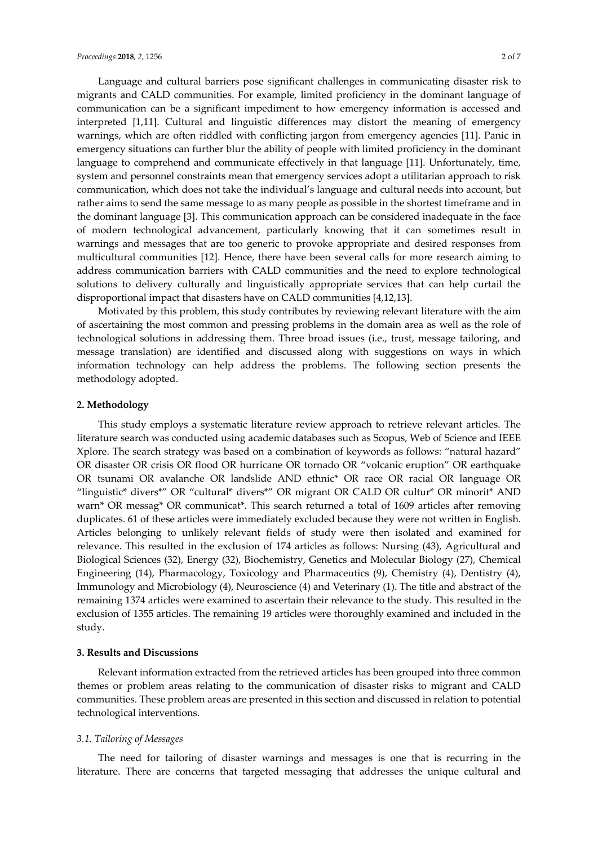Language and cultural barriers pose significant challenges in communicating disaster risk to migrants and CALD communities. For example, limited proficiency in the dominant language of communication can be a significant impediment to how emergency information is accessed and interpreted [1,11]. Cultural and linguistic differences may distort the meaning of emergency warnings, which are often riddled with conflicting jargon from emergency agencies [11]. Panic in emergency situations can further blur the ability of people with limited proficiency in the dominant language to comprehend and communicate effectively in that language [11]. Unfortunately, time, system and personnel constraints mean that emergency services adopt a utilitarian approach to risk communication, which does not take the individual's language and cultural needs into account, but rather aims to send the same message to as many people as possible in the shortest timeframe and in the dominant language [3]. This communication approach can be considered inadequate in the face of modern technological advancement, particularly knowing that it can sometimes result in warnings and messages that are too generic to provoke appropriate and desired responses from multicultural communities [12]. Hence, there have been several calls for more research aiming to address communication barriers with CALD communities and the need to explore technological solutions to delivery culturally and linguistically appropriate services that can help curtail the disproportional impact that disasters have on CALD communities [4,12,13].

Motivated by this problem, this study contributes by reviewing relevant literature with the aim of ascertaining the most common and pressing problems in the domain area as well as the role of technological solutions in addressing them. Three broad issues (i.e., trust, message tailoring, and message translation) are identified and discussed along with suggestions on ways in which information technology can help address the problems. The following section presents the methodology adopted.

#### **2. Methodology**

This study employs a systematic literature review approach to retrieve relevant articles. The literature search was conducted using academic databases such as Scopus, Web of Science and IEEE Xplore. The search strategy was based on a combination of keywords as follows: "natural hazard" OR disaster OR crisis OR flood OR hurricane OR tornado OR "volcanic eruption" OR earthquake OR tsunami OR avalanche OR landslide AND ethnic\* OR race OR racial OR language OR "linguistic\* divers\*" OR "cultural\* divers\*" OR migrant OR CALD OR cultur\* OR minorit\* AND warn\* OR messag\* OR communicat\*. This search returned a total of 1609 articles after removing duplicates. 61 of these articles were immediately excluded because they were not written in English. Articles belonging to unlikely relevant fields of study were then isolated and examined for relevance. This resulted in the exclusion of 174 articles as follows: Nursing (43), Agricultural and Biological Sciences (32), Energy (32), Biochemistry, Genetics and Molecular Biology (27), Chemical Engineering (14), Pharmacology, Toxicology and Pharmaceutics (9), Chemistry (4), Dentistry (4), Immunology and Microbiology (4), Neuroscience (4) and Veterinary (1). The title and abstract of the remaining 1374 articles were examined to ascertain their relevance to the study. This resulted in the exclusion of 1355 articles. The remaining 19 articles were thoroughly examined and included in the study.

#### **3. Results and Discussions**

Relevant information extracted from the retrieved articles has been grouped into three common themes or problem areas relating to the communication of disaster risks to migrant and CALD communities. These problem areas are presented in this section and discussed in relation to potential technological interventions.

# *3.1. Tailoring of Messages*

The need for tailoring of disaster warnings and messages is one that is recurring in the literature. There are concerns that targeted messaging that addresses the unique cultural and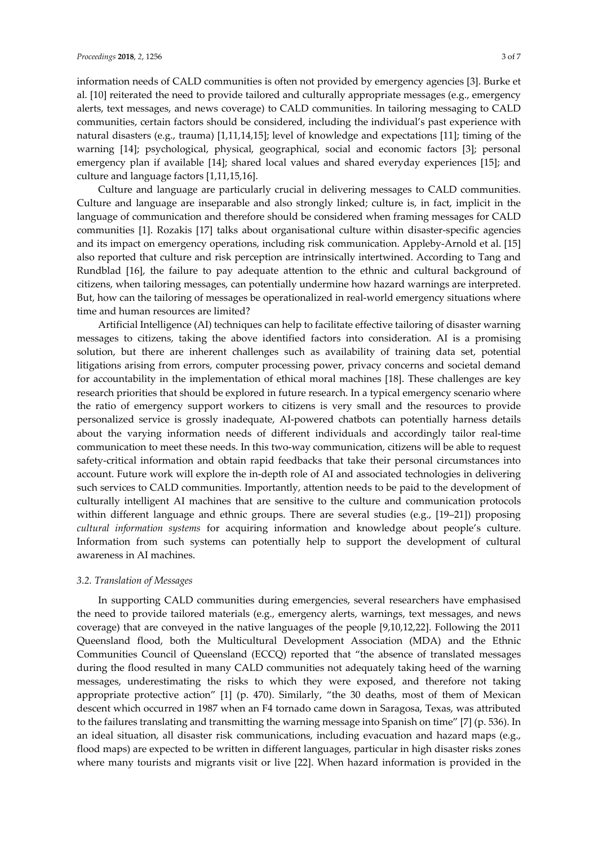information needs of CALD communities is often not provided by emergency agencies [3]. Burke et al. [10] reiterated the need to provide tailored and culturally appropriate messages (e.g., emergency alerts, text messages, and news coverage) to CALD communities. In tailoring messaging to CALD communities, certain factors should be considered, including the individual's past experience with natural disasters (e.g., trauma) [1,11,14,15]; level of knowledge and expectations [11]; timing of the warning [14]; psychological, physical, geographical, social and economic factors [3]; personal emergency plan if available [14]; shared local values and shared everyday experiences [15]; and culture and language factors [1,11,15,16].

Culture and language are particularly crucial in delivering messages to CALD communities. Culture and language are inseparable and also strongly linked; culture is, in fact, implicit in the language of communication and therefore should be considered when framing messages for CALD communities [1]. Rozakis [17] talks about organisational culture within disaster-specific agencies and its impact on emergency operations, including risk communication. Appleby-Arnold et al. [15] also reported that culture and risk perception are intrinsically intertwined. According to Tang and Rundblad [16], the failure to pay adequate attention to the ethnic and cultural background of citizens, when tailoring messages, can potentially undermine how hazard warnings are interpreted. But, how can the tailoring of messages be operationalized in real-world emergency situations where time and human resources are limited?

Artificial Intelligence (AI) techniques can help to facilitate effective tailoring of disaster warning messages to citizens, taking the above identified factors into consideration. AI is a promising solution, but there are inherent challenges such as availability of training data set, potential litigations arising from errors, computer processing power, privacy concerns and societal demand for accountability in the implementation of ethical moral machines [18]. These challenges are key research priorities that should be explored in future research. In a typical emergency scenario where the ratio of emergency support workers to citizens is very small and the resources to provide personalized service is grossly inadequate, AI-powered chatbots can potentially harness details about the varying information needs of different individuals and accordingly tailor real-time communication to meet these needs. In this two-way communication, citizens will be able to request safety-critical information and obtain rapid feedbacks that take their personal circumstances into account. Future work will explore the in-depth role of AI and associated technologies in delivering such services to CALD communities. Importantly, attention needs to be paid to the development of culturally intelligent AI machines that are sensitive to the culture and communication protocols within different language and ethnic groups. There are several studies (e.g., [19–21]) proposing *cultural information systems* for acquiring information and knowledge about people's culture. Information from such systems can potentially help to support the development of cultural awareness in AI machines.

### *3.2. Translation of Messages*

In supporting CALD communities during emergencies, several researchers have emphasised the need to provide tailored materials (e.g., emergency alerts, warnings, text messages, and news coverage) that are conveyed in the native languages of the people [9,10,12,22]. Following the 2011 Queensland flood, both the Multicultural Development Association (MDA) and the Ethnic Communities Council of Queensland (ECCQ) reported that "the absence of translated messages during the flood resulted in many CALD communities not adequately taking heed of the warning messages, underestimating the risks to which they were exposed, and therefore not taking appropriate protective action" [1] (p. 470). Similarly, "the 30 deaths, most of them of Mexican descent which occurred in 1987 when an F4 tornado came down in Saragosa, Texas, was attributed to the failures translating and transmitting the warning message into Spanish on time" [7] (p. 536). In an ideal situation, all disaster risk communications, including evacuation and hazard maps (e.g., flood maps) are expected to be written in different languages, particular in high disaster risks zones where many tourists and migrants visit or live [22]. When hazard information is provided in the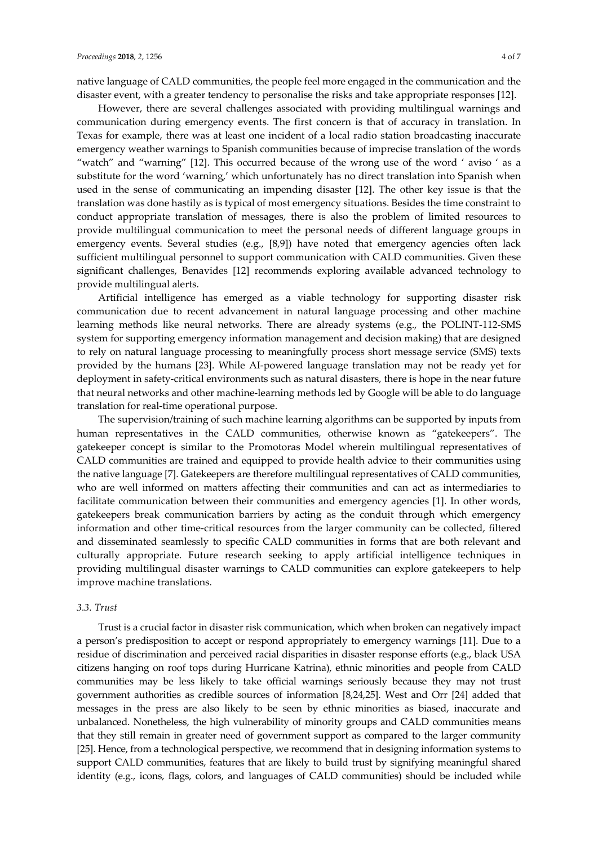native language of CALD communities, the people feel more engaged in the communication and the disaster event, with a greater tendency to personalise the risks and take appropriate responses [12].

However, there are several challenges associated with providing multilingual warnings and communication during emergency events. The first concern is that of accuracy in translation. In Texas for example, there was at least one incident of a local radio station broadcasting inaccurate emergency weather warnings to Spanish communities because of imprecise translation of the words "watch" and "warning" [12]. This occurred because of the wrong use of the word ' aviso ' as a substitute for the word 'warning,' which unfortunately has no direct translation into Spanish when used in the sense of communicating an impending disaster [12]. The other key issue is that the translation was done hastily as is typical of most emergency situations. Besides the time constraint to conduct appropriate translation of messages, there is also the problem of limited resources to provide multilingual communication to meet the personal needs of different language groups in emergency events. Several studies (e.g.,  $[8,9]$ ) have noted that emergency agencies often lack sufficient multilingual personnel to support communication with CALD communities. Given these significant challenges, Benavides [12] recommends exploring available advanced technology to provide multilingual alerts.

Artificial intelligence has emerged as a viable technology for supporting disaster risk communication due to recent advancement in natural language processing and other machine learning methods like neural networks. There are already systems (e.g., the POLINT-112-SMS system for supporting emergency information management and decision making) that are designed to rely on natural language processing to meaningfully process short message service (SMS) texts provided by the humans [23]. While AI-powered language translation may not be ready yet for deployment in safety-critical environments such as natural disasters, there is hope in the near future that neural networks and other machine-learning methods led by Google will be able to do language translation for real-time operational purpose.

The supervision/training of such machine learning algorithms can be supported by inputs from human representatives in the CALD communities, otherwise known as "gatekeepers". The gatekeeper concept is similar to the Promotoras Model wherein multilingual representatives of CALD communities are trained and equipped to provide health advice to their communities using the native language [7]. Gatekeepers are therefore multilingual representatives of CALD communities, who are well informed on matters affecting their communities and can act as intermediaries to facilitate communication between their communities and emergency agencies [1]. In other words, gatekeepers break communication barriers by acting as the conduit through which emergency information and other time-critical resources from the larger community can be collected, filtered and disseminated seamlessly to specific CALD communities in forms that are both relevant and culturally appropriate. Future research seeking to apply artificial intelligence techniques in providing multilingual disaster warnings to CALD communities can explore gatekeepers to help improve machine translations.

#### *3.3. Trust*

Trust is a crucial factor in disaster risk communication, which when broken can negatively impact a person's predisposition to accept or respond appropriately to emergency warnings [11]. Due to a residue of discrimination and perceived racial disparities in disaster response efforts (e.g., black USA citizens hanging on roof tops during Hurricane Katrina), ethnic minorities and people from CALD communities may be less likely to take official warnings seriously because they may not trust government authorities as credible sources of information [8,24,25]. West and Orr [24] added that messages in the press are also likely to be seen by ethnic minorities as biased, inaccurate and unbalanced. Nonetheless, the high vulnerability of minority groups and CALD communities means that they still remain in greater need of government support as compared to the larger community [25]. Hence, from a technological perspective, we recommend that in designing information systems to support CALD communities, features that are likely to build trust by signifying meaningful shared identity (e.g., icons, flags, colors, and languages of CALD communities) should be included while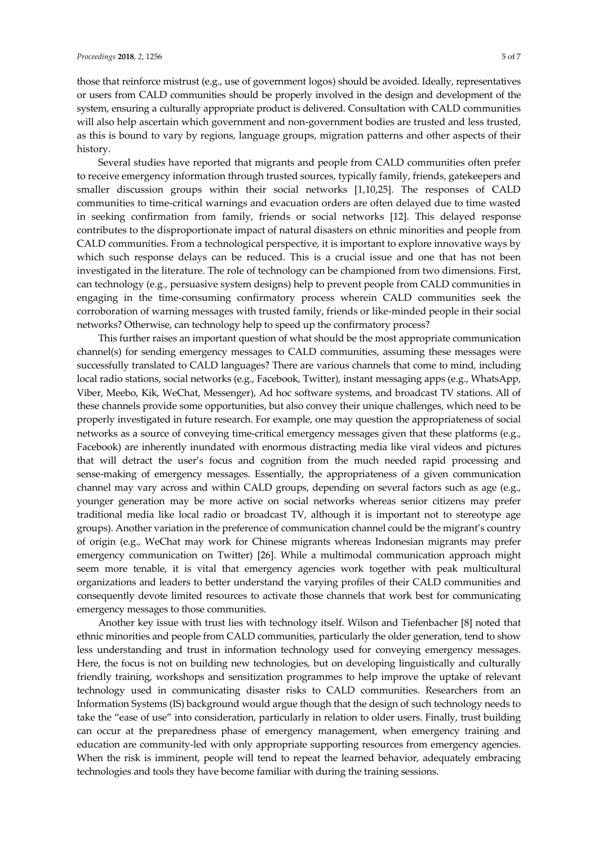those that reinforce mistrust (e.g., use of government logos) should be avoided. Ideally, representatives or users from CALD communities should be properly involved in the design and development of the system, ensuring a culturally appropriate product is delivered. Consultation with CALD communities will also help ascertain which government and non-government bodies are trusted and less trusted, as this is bound to vary by regions, language groups, migration patterns and other aspects of their history.

Several studies have reported that migrants and people from CALD communities often prefer to receive emergency information through trusted sources, typically family, friends, gatekeepers and smaller discussion groups within their social networks [1,10,25]. The responses of CALD communities to time-critical warnings and evacuation orders are often delayed due to time wasted in seeking confirmation from family, friends or social networks [12]. This delayed response contributes to the disproportionate impact of natural disasters on ethnic minorities and people from CALD communities. From a technological perspective, it is important to explore innovative ways by which such response delays can be reduced. This is a crucial issue and one that has not been investigated in the literature. The role of technology can be championed from two dimensions. First, can technology (e.g., persuasive system designs) help to prevent people from CALD communities in engaging in the time-consuming confirmatory process wherein CALD communities seek the corroboration of warning messages with trusted family, friends or like-minded people in their social networks? Otherwise, can technology help to speed up the confirmatory process?

This further raises an important question of what should be the most appropriate communication channel(s) for sending emergency messages to CALD communities, assuming these messages were successfully translated to CALD languages? There are various channels that come to mind, including local radio stations, social networks (e.g., Facebook, Twitter), instant messaging apps (e.g., WhatsApp, Viber, Meebo, Kik, WeChat, Messenger), Ad hoc software systems, and broadcast TV stations. All of these channels provide some opportunities, but also convey their unique challenges, which need to be properly investigated in future research. For example, one may question the appropriateness of social networks as a source of conveying time-critical emergency messages given that these platforms (e.g., Facebook) are inherently inundated with enormous distracting media like viral videos and pictures that will detract the user's focus and cognition from the much needed rapid processing and sense-making of emergency messages. Essentially, the appropriateness of a given communication channel may vary across and within CALD groups, depending on several factors such as age (e.g., younger generation may be more active on social networks whereas senior citizens may prefer traditional media like local radio or broadcast TV, although it is important not to stereotype age groups). Another variation in the preference of communication channel could be the migrant's country of origin (e.g., WeChat may work for Chinese migrants whereas Indonesian migrants may prefer emergency communication on Twitter) [26]. While a multimodal communication approach might seem more tenable, it is vital that emergency agencies work together with peak multicultural organizations and leaders to better understand the varying profiles of their CALD communities and consequently devote limited resources to activate those channels that work best for communicating emergency messages to those communities.

Another key issue with trust lies with technology itself. Wilson and Tiefenbacher [8] noted that ethnic minorities and people from CALD communities, particularly the older generation, tend to show less understanding and trust in information technology used for conveying emergency messages. Here, the focus is not on building new technologies, but on developing linguistically and culturally friendly training, workshops and sensitization programmes to help improve the uptake of relevant technology used in communicating disaster risks to CALD communities. Researchers from an Information Systems (IS) background would argue though that the design of such technology needs to take the "ease of use" into consideration, particularly in relation to older users. Finally, trust building can occur at the preparedness phase of emergency management, when emergency training and education are community-led with only appropriate supporting resources from emergency agencies. When the risk is imminent, people will tend to repeat the learned behavior, adequately embracing technologies and tools they have become familiar with during the training sessions.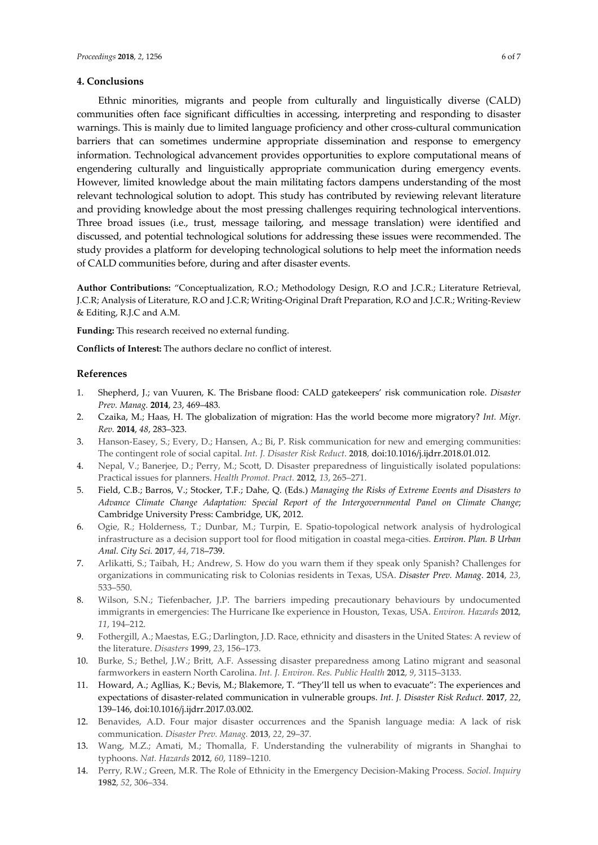# **4. Conclusions**

Ethnic minorities, migrants and people from culturally and linguistically diverse (CALD) communities often face significant difficulties in accessing, interpreting and responding to disaster warnings. This is mainly due to limited language proficiency and other cross-cultural communication barriers that can sometimes undermine appropriate dissemination and response to emergency information. Technological advancement provides opportunities to explore computational means of engendering culturally and linguistically appropriate communication during emergency events. However, limited knowledge about the main militating factors dampens understanding of the most relevant technological solution to adopt. This study has contributed by reviewing relevant literature and providing knowledge about the most pressing challenges requiring technological interventions. Three broad issues (i.e., trust, message tailoring, and message translation) were identified and discussed, and potential technological solutions for addressing these issues were recommended. The study provides a platform for developing technological solutions to help meet the information needs of CALD communities before, during and after disaster events.

**Author Contributions:** "Conceptualization, R.O.; Methodology Design, R.O and J.C.R.; Literature Retrieval, J.C.R; Analysis of Literature, R.O and J.C.R; Writing-Original Draft Preparation, R.O and J.C.R.; Writing-Review & Editing, R.J.C and A.M.

**Funding:** This research received no external funding.

**Conflicts of Interest:** The authors declare no conflict of interest.

#### **References**

- 1. Shepherd, J.; van Vuuren, K. The Brisbane flood: CALD gatekeepers' risk communication role. *Disaster Prev. Manag.* **2014**, *23*, 469–483.
- 2. Czaika, M.; Haas, H. The globalization of migration: Has the world become more migratory? *Int. Migr. Rev.* **2014**, *48*, 283–323.
- 3. Hanson-Easey, S.; Every, D.; Hansen, A.; Bi, P. Risk communication for new and emerging communities: The contingent role of social capital. *Int. J. Disaster Risk Reduct*. **2018**, doi:10.1016/j.ijdrr.2018.01.012.
- 4. Nepal, V.; Banerjee, D.; Perry, M.; Scott, D. Disaster preparedness of linguistically isolated populations: Practical issues for planners. *Health Promot. Pract.* **2012**, *13*, 265–271.
- 5. Field, C.B.; Barros, V.; Stocker, T.F.; Dahe, Q. (Eds.) *Managing the Risks of Extreme Events and Disasters to Advance Climate Change Adaptation: Special Report of the Intergovernmental Panel on Climate Change*; Cambridge University Press: Cambridge, UK, 2012.
- 6. Ogie, R.; Holderness, T.; Dunbar, M.; Turpin, E. Spatio-topological network analysis of hydrological infrastructure as a decision support tool for flood mitigation in coastal mega-cities. *Environ. Plan. B Urban Anal. City Sci.* **2017**, *44*, 718–739.
- 7. Arlikatti, S.; Taibah, H.; Andrew, S. How do you warn them if they speak only Spanish? Challenges for organizations in communicating risk to Colonias residents in Texas, USA. *Disaster Prev. Manag.* **2014**, *23*, 533–550.
- 8. Wilson, S.N.; Tiefenbacher, J.P. The barriers impeding precautionary behaviours by undocumented immigrants in emergencies: The Hurricane Ike experience in Houston, Texas, USA. *Environ. Hazards* **2012**, *11*, 194–212.
- 9. Fothergill, A.; Maestas, E.G.; Darlington, J.D. Race, ethnicity and disasters in the United States: A review of the literature. *Disasters* **1999**, *23*, 156–173.
- 10. Burke, S.; Bethel, J.W.; Britt, A.F. Assessing disaster preparedness among Latino migrant and seasonal farmworkers in eastern North Carolina. *Int. J. Environ. Res. Public Health* **2012**, *9*, 3115–3133.
- 11. Howard, A.; Agllias, K.; Bevis, M.; Blakemore, T. "They'll tell us when to evacuate": The experiences and expectations of disaster-related communication in vulnerable groups. *Int. J. Disaster Risk Reduct.* **2017**, *22*, 139–146, doi:10.1016/j.ijdrr.2017.03.002.
- 12. Benavides, A.D. Four major disaster occurrences and the Spanish language media: A lack of risk communication. *Disaster Prev. Manag.* **2013**, *22*, 29–37.
- 13. Wang, M.Z.; Amati, M.; Thomalla, F. Understanding the vulnerability of migrants in Shanghai to typhoons. *Nat. Hazards* **2012**, *60*, 1189–1210.
- 14. Perry, R.W.; Green, M.R. The Role of Ethnicity in the Emergency Decision-Making Process. *Sociol. Inquiry* **1982**, *52*, 306–334.